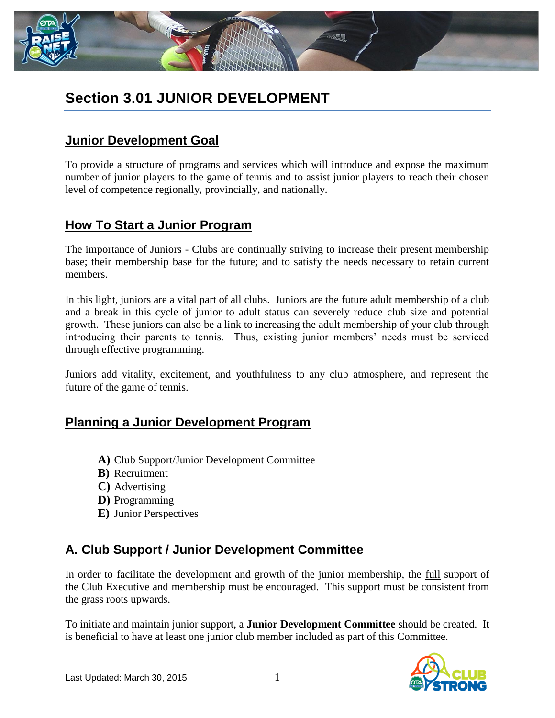

# **Section 3.01 JUNIOR DEVELOPMENT**

## **Junior Development Goal**

To provide a structure of programs and services which will introduce and expose the maximum number of junior players to the game of tennis and to assist junior players to reach their chosen level of competence regionally, provincially, and nationally.

### **How To Start a Junior Program**

The importance of Juniors - Clubs are continually striving to increase their present membership base; their membership base for the future; and to satisfy the needs necessary to retain current members.

In this light, juniors are a vital part of all clubs. Juniors are the future adult membership of a club and a break in this cycle of junior to adult status can severely reduce club size and potential growth. These juniors can also be a link to increasing the adult membership of your club through introducing their parents to tennis. Thus, existing junior members' needs must be serviced through effective programming.

Juniors add vitality, excitement, and youthfulness to any club atmosphere, and represent the future of the game of tennis.

### **Planning a Junior Development Program**

- **A)** Club Support/Junior Development Committee
- **B)** Recruitment
- **C)** Advertising
- **D)** Programming
- **E)** Junior Perspectives

## **A. Club Support / Junior Development Committee**

In order to facilitate the development and growth of the junior membership, the full support of the Club Executive and membership must be encouraged. This support must be consistent from the grass roots upwards.

To initiate and maintain junior support, a **Junior Development Committee** should be created. It is beneficial to have at least one junior club member included as part of this Committee.

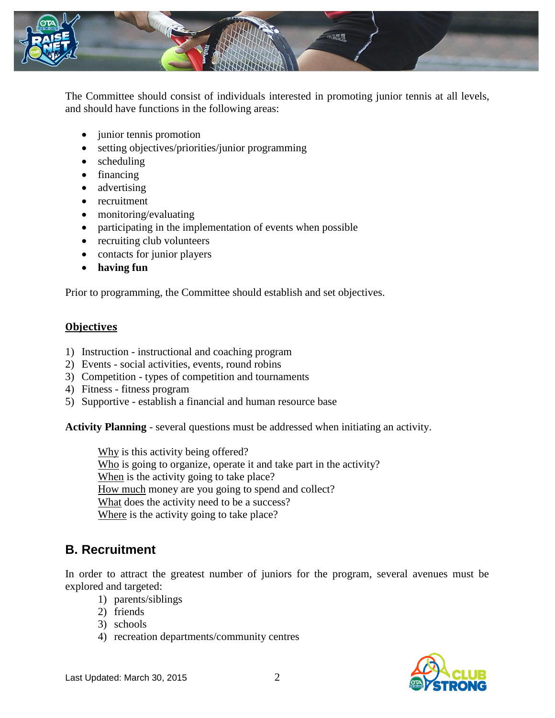

The Committee should consist of individuals interested in promoting junior tennis at all levels, and should have functions in the following areas:

- junior tennis promotion
- setting objectives/priorities/junior programming
- scheduling
- financing
- advertising
- recruitment
- monitoring/evaluating
- participating in the implementation of events when possible
- recruiting club volunteers
- contacts for junior players
- **having fun**

Prior to programming, the Committee should establish and set objectives.

#### **Objectives**

- 1) Instruction instructional and coaching program
- 2) Events social activities, events, round robins
- 3) Competition types of competition and tournaments
- 4) Fitness fitness program
- 5) Supportive establish a financial and human resource base

**Activity Planning** - several questions must be addressed when initiating an activity.

Why is this activity being offered? Who is going to organize, operate it and take part in the activity? When is the activity going to take place? How much money are you going to spend and collect? What does the activity need to be a success? Where is the activity going to take place?

### **B. Recruitment**

In order to attract the greatest number of juniors for the program, several avenues must be explored and targeted:

- 1) parents/siblings
- 2) friends
- 3) schools
- 4) recreation departments/community centres

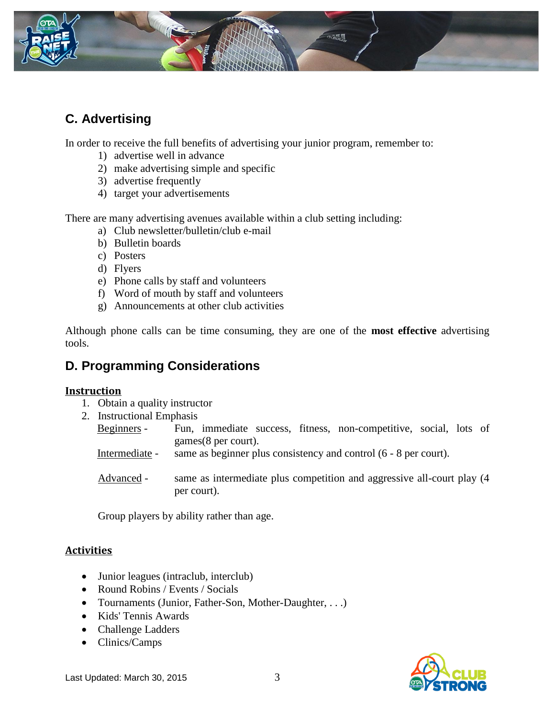

# **C. Advertising**

In order to receive the full benefits of advertising your junior program, remember to:

- 1) advertise well in advance
- 2) make advertising simple and specific
- 3) advertise frequently
- 4) target your advertisements

There are many advertising avenues available within a club setting including:

- a) Club newsletter/bulletin/club e-mail
- b) Bulletin boards
- c) Posters
- d) Flyers
- e) Phone calls by staff and volunteers
- f) Word of mouth by staff and volunteers
- g) Announcements at other club activities

Although phone calls can be time consuming, they are one of the **most effective** advertising tools.

## **D. Programming Considerations**

### **Instruction**

- 1. Obtain a quality instructor
- 2. Instructional Emphasis
	- Beginners Fun, immediate success, fitness, non-competitive, social, lots of games(8 per court).
	- Intermediate same as beginner plus consistency and control (6 8 per court).
	- Advanced same as intermediate plus competition and aggressive all-court play (4 per court).

Group players by ability rather than age.

### **Activities**

- Junior leagues (intraclub, interclub)
- Round Robins / Events / Socials
- Tournaments (Junior, Father-Son, Mother-Daughter, . . .)
- Kids' Tennis Awards
- Challenge Ladders
- Clinics/Camps

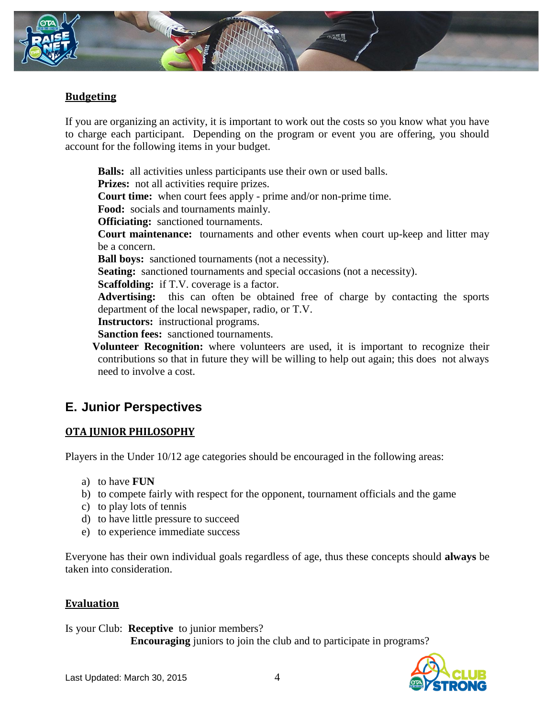

### **Budgeting**

If you are organizing an activity, it is important to work out the costs so you know what you have to charge each participant. Depending on the program or event you are offering, you should account for the following items in your budget.

**Balls:** all activities unless participants use their own or used balls. **Prizes:** not all activities require prizes. **Court time:** when court fees apply - prime and/or non-prime time. **Food:** socials and tournaments mainly. **Officiating:** sanctioned tournaments. **Court maintenance:** tournaments and other events when court up-keep and litter may be a concern. **Ball boys:** sanctioned tournaments (not a necessity). **Seating:** sanctioned tournaments and special occasions (not a necessity). **Scaffolding:** if T.V. coverage is a factor. **Advertising:** this can often be obtained free of charge by contacting the sports department of the local newspaper, radio, or T.V. **Instructors:** instructional programs. **Sanction fees:** sanctioned tournaments.  **Volunteer Recognition:** where volunteers are used, it is important to recognize their

contributions so that in future they will be willing to help out again; this does not always need to involve a cost.

## **E. Junior Perspectives**

### **OTA JUNIOR PHILOSOPHY**

Players in the Under 10/12 age categories should be encouraged in the following areas:

- a) to have **FUN**
- b) to compete fairly with respect for the opponent, tournament officials and the game
- c) to play lots of tennis
- d) to have little pressure to succeed
- e) to experience immediate success

Everyone has their own individual goals regardless of age, thus these concepts should **always** be taken into consideration.

### **Evaluation**

Is your Club: **Receptive** to junior members? **Encouraging** juniors to join the club and to participate in programs?

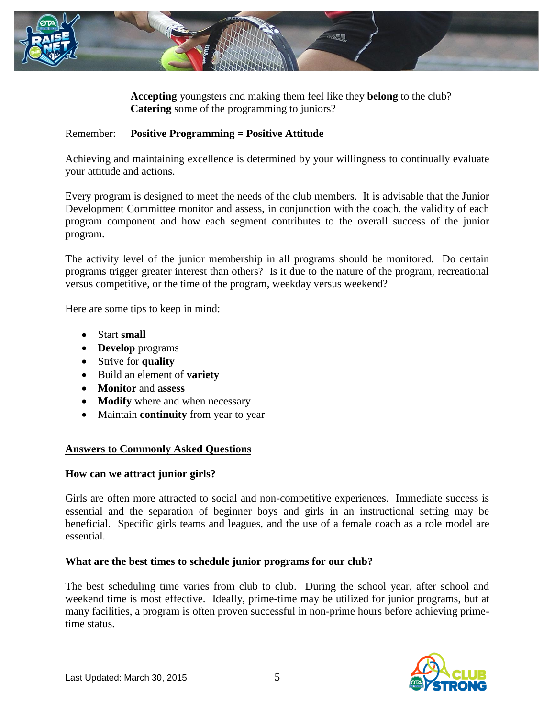

**Accepting** youngsters and making them feel like they **belong** to the club? **Catering** some of the programming to juniors?

#### Remember: **Positive Programming = Positive Attitude**

Achieving and maintaining excellence is determined by your willingness to continually evaluate your attitude and actions.

Every program is designed to meet the needs of the club members. It is advisable that the Junior Development Committee monitor and assess, in conjunction with the coach, the validity of each program component and how each segment contributes to the overall success of the junior program.

The activity level of the junior membership in all programs should be monitored. Do certain programs trigger greater interest than others? Is it due to the nature of the program, recreational versus competitive, or the time of the program, weekday versus weekend?

Here are some tips to keep in mind:

- Start **small**
- **Develop** programs
- Strive for **quality**
- Build an element of **variety**
- **Monitor** and **assess**
- **Modify** where and when necessary
- Maintain **continuity** from year to year

### **Answers to Commonly Asked Questions**

#### **How can we attract junior girls?**

Girls are often more attracted to social and non-competitive experiences. Immediate success is essential and the separation of beginner boys and girls in an instructional setting may be beneficial. Specific girls teams and leagues, and the use of a female coach as a role model are essential.

#### **What are the best times to schedule junior programs for our club?**

The best scheduling time varies from club to club. During the school year, after school and weekend time is most effective. Ideally, prime-time may be utilized for junior programs, but at many facilities, a program is often proven successful in non-prime hours before achieving primetime status.